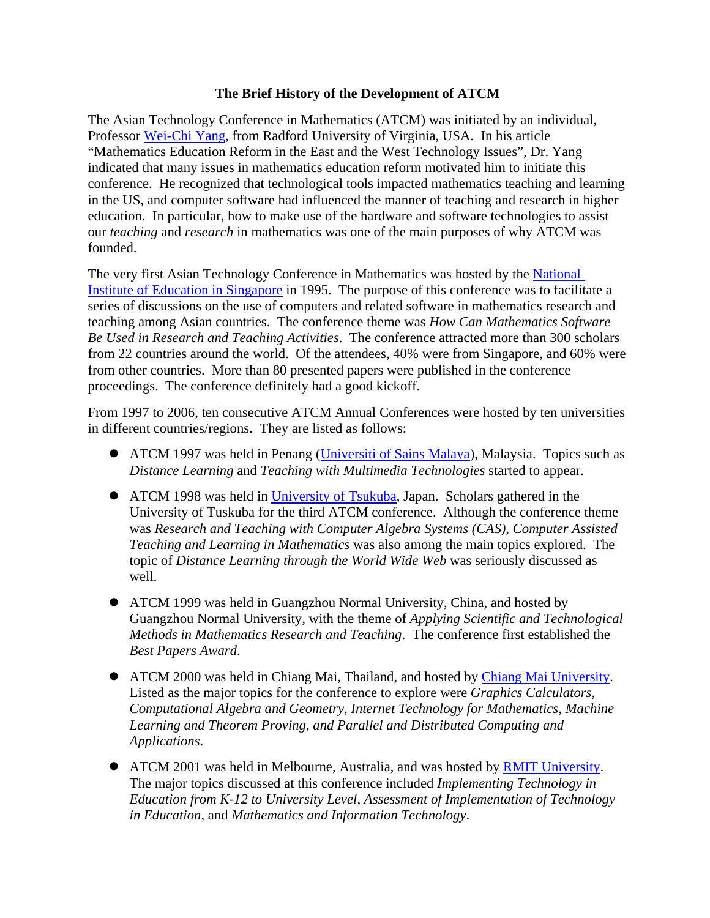## **The Brief History of the Development of ATCM**

The Asian Technology Conference in Mathematics (ATCM) was initiated by an individual, Professor [Wei-Chi Yang](http://www.radford.edu/wyang), from Radford University of Virginia, USA. In his article "Mathematics Education Reform in the East and the West Technology Issues", Dr. Yang indicated that many issues in mathematics education reform motivated him to initiate this conference. He recognized that technological tools impacted mathematics teaching and learning in the US, and computer software had influenced the manner of teaching and research in higher education. In particular, how to make use of the hardware and software technologies to assist our *teaching* and *research* in mathematics was one of the main purposes of why ATCM was founded.

The very first Asian Technology Conference in Mathematics was hosted by the [National](http://math.nie.edu.sg/)  [Institute of Education in Singapore](http://math.nie.edu.sg/) in 1995. The purpose of this conference was to facilitate a series of discussions on the use of computers and related software in mathematics research and teaching among Asian countries. The conference theme was *How Can Mathematics Software Be Used in Research and Teaching Activities*. The conference attracted more than 300 scholars from 22 countries around the world. Of the attendees, 40% were from Singapore, and 60% were from other countries. More than 80 presented papers were published in the conference proceedings. The conference definitely had a good kickoff.

From 1997 to 2006, ten consecutive ATCM Annual Conferences were hosted by ten universities in different countries/regions. They are listed as follows:

- ATCM 1997 was held in Penang [\(Universiti of Sains Malaya](http://math.usm.my/index.htm)), Malaysia. Topics such as *Distance Learning* and *Teaching with Multimedia Technologies* started to appear.
- ATCM 1998 was held in [University of Tsukuba](http://www.tsukuba.ac.jp/eng/edu_college.html), Japan. Scholars gathered in the University of Tuskuba for the third ATCM conference. Although the conference theme was *Research and Teaching with Computer Algebra Systems (CAS)*, *Computer Assisted Teaching and Learning in Mathematics* was also among the main topics explored. The topic of *Distance Learning through the World Wide Web* was seriously discussed as well.
- ATCM 1999 was held in Guangzhou Normal University, China, and hosted by Guangzhou Normal University, with the theme of *Applying Scientific and Technological Methods in Mathematics Research and Teaching*. The conference first established the *Best Papers Award*.
- ATCM 2000 was held in Chiang Mai, Thailand, and hosted by [Chiang Mai University](http://www.cmu.ac.th/main_Eng.htm). Listed as the major topics for the conference to explore were *Graphics Calculators*, *Computational Algebra and Geometry, Internet Technology for Mathematics*, *Machine Learning and Theorem Proving, and Parallel and Distributed Computing and Applications*.
- ATCM 2001 was held in Melbourne, Australia, and was hosted by [RMIT University.](http://www.rmit.edu.au/mathstats) The major topics discussed at this conference included *Implementing Technology in Education from K-12 to University Level*, *Assessment of Implementation of Technology in Education*, and *Mathematics and Information Technology*.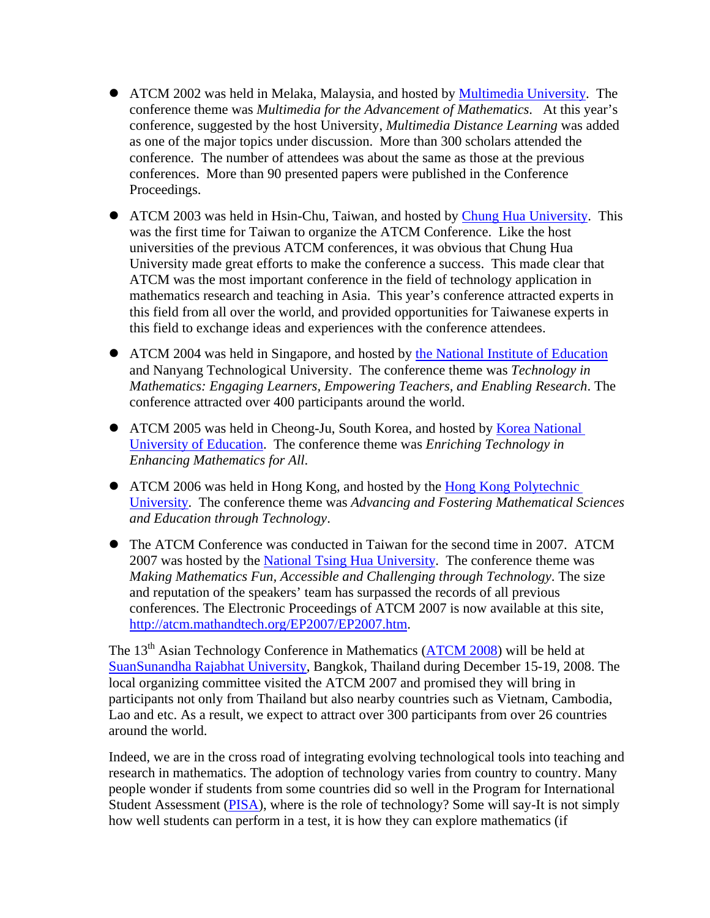- ATCM 2002 was held in Melaka, Malaysia, and hosted by [Multimedia University.](http://fist2.mmu.edu.my/%7Efist/) The conference theme was *Multimedia for the Advancement of Mathematics*. At this year's conference, suggested by the host University, *Multimedia Distance Learning* was added as one of the major topics under discussion. More than 300 scholars attended the conference. The number of attendees was about the same as those at the previous conferences. More than 90 presented papers were published in the Conference Proceedings.
- ATCM 2003 was held in Hsin-Chu, Taiwan, and hosted by [Chung Hua University](http://www.math.chu.edu.tw/English/index.htm). This was the first time for Taiwan to organize the ATCM Conference. Like the host universities of the previous ATCM conferences, it was obvious that Chung Hua University made great efforts to make the conference a success. This made clear that ATCM was the most important conference in the field of technology application in mathematics research and teaching in Asia. This year's conference attracted experts in this field from all over the world, and provided opportunities for Taiwanese experts in this field to exchange ideas and experiences with the conference attendees.
- ATCM 2004 was held in Singapore, and hosted by [the National Institute of Education](http://math.nie.edu.sg/) and Nanyang Technological University. The conference theme was *Technology in Mathematics: Engaging Learners, Empowering Teachers, and Enabling Research*. The conference attracted over 400 participants around the world.
- ATCM 2005 was held in Cheong-Ju, South Korea, and hosted by Korea National [University of Education](http://math.knue.ac.kr/bbs/zboard.php?id=im). The conference theme was *Enriching Technology in Enhancing Mathematics for All*.
- ATCM 2006 was held in Hong Kong, and hosted by the Hong Kong Polytechnic [University.](http://www.polyu.edu.hk/%7Eama/) The conference theme was *Advancing and Fostering Mathematical Sciences and Education through Technology*.
- The ATCM Conference was conducted in Taiwan for the second time in 2007. ATCM 2007 was hosted by the [National Tsing Hua University.](http://www.math.nthu.edu.tw/enmain.php) The conference theme was *Making Mathematics Fun, Accessible and Challenging through Technology*. The size and reputation of the speakers' team has surpassed the records of all previous conferences. The Electronic Proceedings of ATCM 2007 is now available at this site, <http://atcm.mathandtech.org/EP2007/EP2007.htm>.

The 13<sup>th</sup> Asian Technology Conference in Mathematics ([ATCM 2008](http://atcm.mathandtech.org/)) will be held at [SuanSunandha Rajabhat University,](http://www.ssruic.com/) Bangkok, Thailand during December 15-19, 2008. The local organizing committee visited the ATCM 2007 and promised they will bring in participants not only from Thailand but also nearby countries such as Vietnam, Cambodia, Lao and etc. As a result, we expect to attract over 300 participants from over 26 countries around the world.

Indeed, we are in the cross road of integrating evolving technological tools into teaching and research in mathematics. The adoption of technology varies from country to country. Many people wonder if students from some countries did so well in the Program for International Student Assessment [\(PISA](http://www.pisa.oecd.org/pages/0,2987,en_32252351_32235731_1_1_1_1_1,00.html)), where is the role of technology? Some will say-It is not simply how well students can perform in a test, it is how they can explore mathematics (if